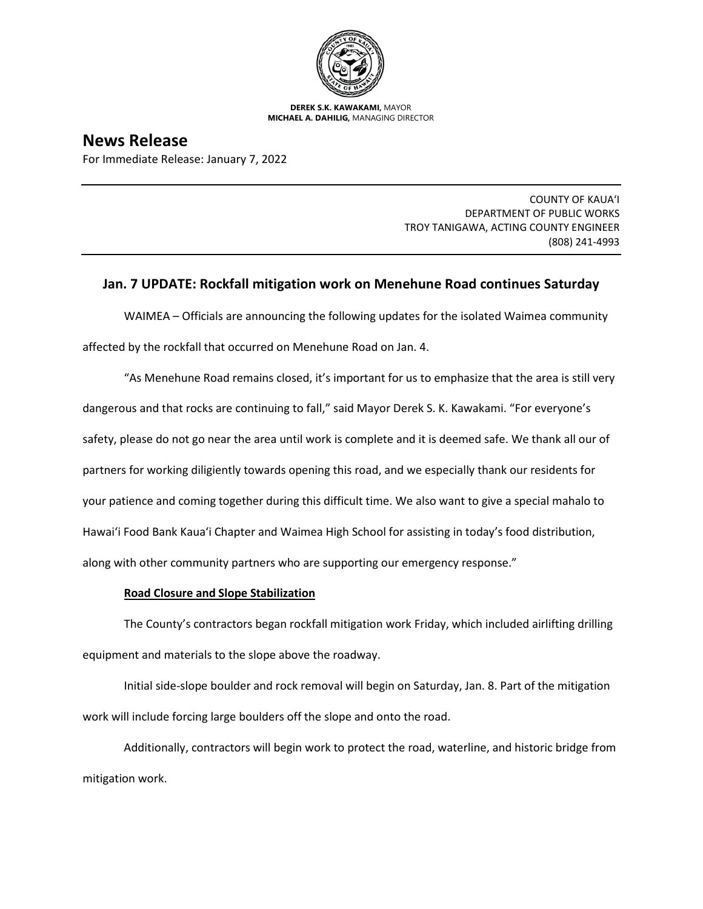

**DEREK S.K. KAWAKAMI,** MAYOR **MICHAEL A. DAHILIG,** MANAGING DIRECTOR

# **News Release**

For Immediate Release: January 7, 2022

COUNTY OF KAUA'I DEPARTMENT OF PUBLIC WORKS TROY TANIGAWA, ACTING COUNTY ENGINEER (808) 241-4993

# **Jan. 7 UPDATE: Rockfall mitigation work on Menehune Road continues Saturday**

WAIMEA – Officials are announcing the following updates for the isolated Waimea community affected by the rockfall that occurred on Menehune Road on Jan. 4.

"As Menehune Road remains closed, it's important for us to emphasize that the area is still very dangerous and that rocks are continuing to fall," said Mayor Derek S. K. Kawakami. "For everyone's safety, please do not go near the area until work is complete and it is deemed safe. We thank all our of partners for working diligiently towards opening this road, and we especially thank our residents for your patience and coming together during this difficult time. We also want to give a special mahalo to Hawai'i Food Bank Kaua'i Chapter and Waimea High School for assisting in today's food distribution, along with other community partners who are supporting our emergency response."

## **Road Closure and Slope Stabilization**

The County's contractors began rockfall mitigation work Friday, which included airlifting drilling equipment and materials to the slope above the roadway.

Initial side-slope boulder and rock removal will begin on Saturday, Jan. 8. Part of the mitigation work will include forcing large boulders off the slope and onto the road.

Additionally, contractors will begin work to protect the road, waterline, and historic bridge from mitigation work.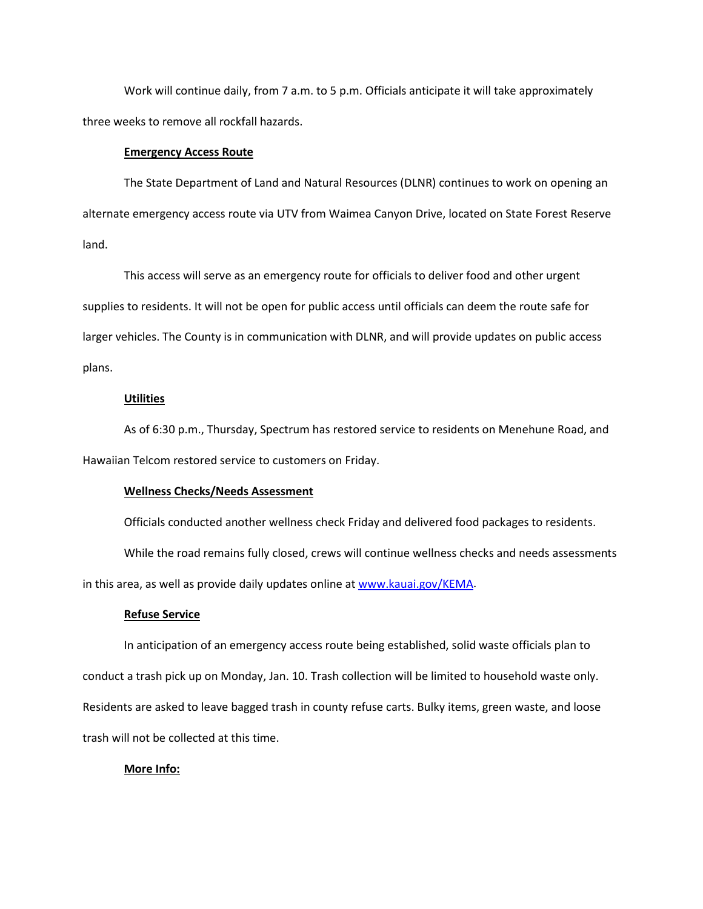Work will continue daily, from 7 a.m. to 5 p.m. Officials anticipate it will take approximately three weeks to remove all rockfall hazards.

#### **Emergency Access Route**

The State Department of Land and Natural Resources (DLNR) continues to work on opening an alternate emergency access route via UTV from Waimea Canyon Drive, located on State Forest Reserve land.

This access will serve as an emergency route for officials to deliver food and other urgent supplies to residents. It will not be open for public access until officials can deem the route safe for larger vehicles. The County is in communication with DLNR, and will provide updates on public access plans.

### **Utilities**

As of 6:30 p.m., Thursday, Spectrum has restored service to residents on Menehune Road, and Hawaiian Telcom restored service to customers on Friday.

#### **Wellness Checks/Needs Assessment**

Officials conducted another wellness check Friday and delivered food packages to residents.

While the road remains fully closed, crews will continue wellness checks and needs assessments in this area, as well as provide daily updates online at [www.kauai.gov/KEMA.](http://www.kauai.gov/KEMA)

#### **Refuse Service**

In anticipation of an emergency access route being established, solid waste officials plan to conduct a trash pick up on Monday, Jan. 10. Trash collection will be limited to household waste only. Residents are asked to leave bagged trash in county refuse carts. Bulky items, green waste, and loose trash will not be collected at this time.

#### **More Info:**